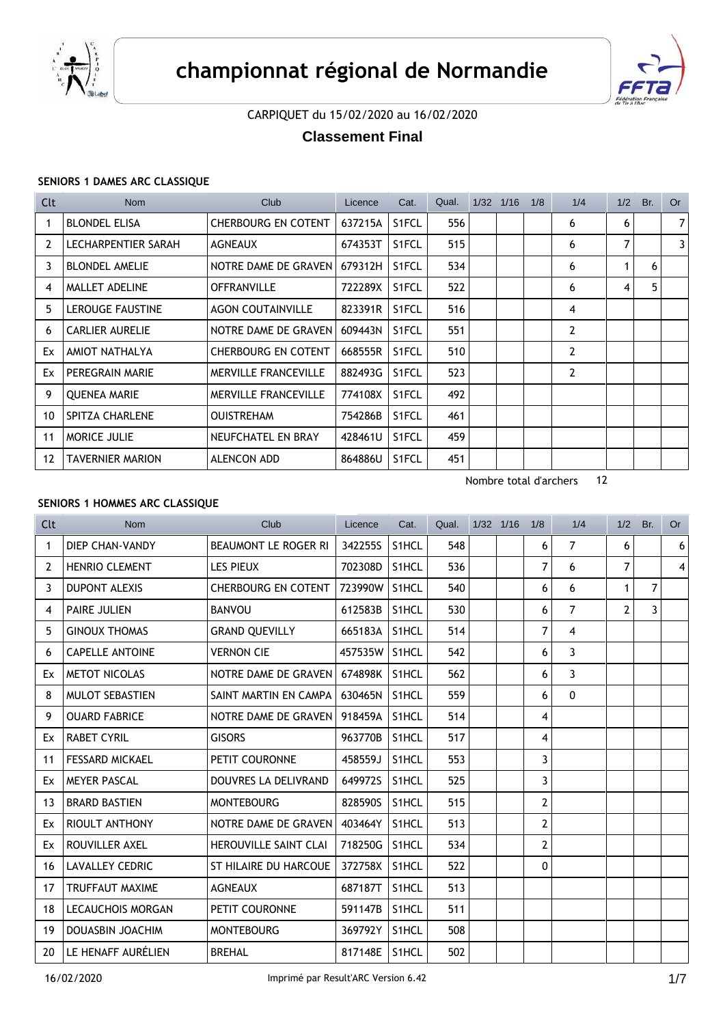



CARPIQUET du 15/02/2020 au 16/02/2020

**Classement Final**

# **SENIORS 1 DAMES ARC CLASSIQUE**

| Clt               | <b>Nom</b>              | Club                        | Licence | Cat.               | Qual. | $1/32$ $1/16$ | 1/8 | 1/4            | 1/2 | Br. | <b>Or</b>      |
|-------------------|-------------------------|-----------------------------|---------|--------------------|-------|---------------|-----|----------------|-----|-----|----------------|
| 1                 | <b>BLONDEL ELISA</b>    | CHERBOURG EN COTENT         | 637215A | S <sub>1</sub> FCL | 556   |               |     | 6              | 6   |     | $\overline{7}$ |
| 2                 | LECHARPENTIER SARAH     | AGNEAUX                     | 674353T | S1FCL              | 515   |               |     | 6              | 7   |     | 3              |
| 3                 | <b>BLONDEL AMELIE</b>   | NOTRE DAME DE GRAVEN        | 679312H | S1FCL              | 534   |               |     | 6              |     | 6   |                |
| 4                 | <b>MALLET ADELINE</b>   | <b>OFFRANVILLE</b>          | 722289X | S1FCL              | 522   |               |     | 6              | 4   | 5   |                |
| 5                 | LEROUGE FAUSTINE        | <b>AGON COUTAINVILLE</b>    | 823391R | S1FCL              | 516   |               |     | 4              |     |     |                |
| 6                 | <b>CARLIER AURELIE</b>  | NOTRE DAME DE GRAVEN        | 609443N | S1FCL              | 551   |               |     | $\overline{2}$ |     |     |                |
| Ex                | AMIOT NATHALYA          | <b>CHERBOURG EN COTENT</b>  | 668555R | S <sub>1</sub> FCL | 510   |               |     | $\overline{2}$ |     |     |                |
| Ex                | PEREGRAIN MARIE         | MERVILLE FRANCEVILLE        | 882493G | S1FCL              | 523   |               |     | $\overline{2}$ |     |     |                |
| 9                 | <b>QUENEA MARIE</b>     | <b>MERVILLE FRANCEVILLE</b> | 774108X | S1FCL              | 492   |               |     |                |     |     |                |
| 10                | <b>SPITZA CHARLENE</b>  | <b>OUISTREHAM</b>           | 754286B | S1FCL              | 461   |               |     |                |     |     |                |
| 11                | <b>MORICE JULIE</b>     | NEUFCHATEL EN BRAY          | 428461U | S <sub>1</sub> FCL | 459   |               |     |                |     |     |                |
| $12 \overline{ }$ | <b>TAVERNIER MARION</b> | ALENCON ADD                 | 864886U | S1FCL              | 451   |               |     |                |     |     |                |

Nombre total d'archers 12

# **SENIORS 1 HOMMES ARC CLASSIQUE**

| Clt            | <b>Nom</b>               | Club                         | Licence | Cat.               | Qual. | 1/32 1/16 | 1/8            | 1/4            | 1/2            | Br. | <b>Or</b>      |
|----------------|--------------------------|------------------------------|---------|--------------------|-------|-----------|----------------|----------------|----------------|-----|----------------|
| 1              | <b>DIEP CHAN-VANDY</b>   | BEAUMONT LE ROGER RI         | 342255S | S1HCL              | 548   |           | 6              | $\overline{7}$ | 6              |     | 6              |
| $\overline{2}$ | <b>HENRIO CLEMENT</b>    | <b>LES PIEUX</b>             | 702308D | S1HCL              | 536   |           | 7              | 6              | 7              |     | $\overline{4}$ |
| 3              | <b>DUPONT ALEXIS</b>     | <b>CHERBOURG EN COTENT</b>   | 723990W | S1HCL              | 540   |           | 6              | 6              | 1              | 7   |                |
| 4              | <b>PAIRE JULIEN</b>      | <b>BANVOU</b>                | 612583B | S1HCL              | 530   |           | 6              | $\overline{7}$ | $\overline{2}$ | 3   |                |
| 5.             | <b>GINOUX THOMAS</b>     | <b>GRAND QUEVILLY</b>        | 665183A | S1HCL              | 514   |           | 7              | 4              |                |     |                |
| 6              | <b>CAPELLE ANTOINE</b>   | <b>VERNON CIE</b>            | 457535W | S <sub>1</sub> HCL | 542   |           | 6              | 3              |                |     |                |
| Ex             | <b>METOT NICOLAS</b>     | NOTRE DAME DE GRAVEN         | 674898K | S1HCL              | 562   |           | 6              | 3              |                |     |                |
| 8              | <b>MULOT SEBASTIEN</b>   | SAINT MARTIN EN CAMPA        | 630465N | S1HCL              | 559   |           | 6              | $\Omega$       |                |     |                |
| 9              | <b>OUARD FABRICE</b>     | NOTRE DAME DE GRAVEN         | 918459A | S1HCL              | 514   |           | 4              |                |                |     |                |
| Ex             | <b>RABET CYRIL</b>       | <b>GISORS</b>                | 963770B | S1HCL              | 517   |           | 4              |                |                |     |                |
| 11             | <b>FESSARD MICKAEL</b>   | PETIT COURONNE               | 458559J | S1HCL              | 553   |           | 3              |                |                |     |                |
| Ex             | <b>MEYER PASCAL</b>      | DOUVRES LA DELIVRAND         | 649972S | S <sub>1</sub> HCL | 525   |           | 3              |                |                |     |                |
| 13             | <b>BRARD BASTIEN</b>     | <b>MONTEBOURG</b>            | 828590S | S1HCL              | 515   |           | $\overline{2}$ |                |                |     |                |
| Ex             | <b>RIOULT ANTHONY</b>    | NOTRE DAME DE GRAVEN         | 403464Y | S1HCL              | 513   |           | $\overline{2}$ |                |                |     |                |
| Ex             | ROUVILLER AXEL           | HEROUVILLE SAINT CLAI        | 718250G | S1HCL              | 534   |           | $\overline{2}$ |                |                |     |                |
| 16             | <b>LAVALLEY CEDRIC</b>   | <b>ST HILAIRE DU HARCOUE</b> | 372758X | S1HCL              | 522   |           | $\mathbf{0}$   |                |                |     |                |
| 17             | <b>TRUFFAUT MAXIME</b>   | <b>AGNEAUX</b>               | 687187T | S <sub>1</sub> HCL | 513   |           |                |                |                |     |                |
| 18             | <b>LECAUCHOIS MORGAN</b> | PETIT COURONNE               | 591147B | S1HCL              | 511   |           |                |                |                |     |                |
| 19             | <b>DOUASBIN JOACHIM</b>  | <b>MONTEBOURG</b>            | 369792Y | S1HCL              | 508   |           |                |                |                |     |                |
| 20             | LE HENAFF AURÉLIEN       | <b>BREHAL</b>                | 817148E | S1HCL              | 502   |           |                |                |                |     |                |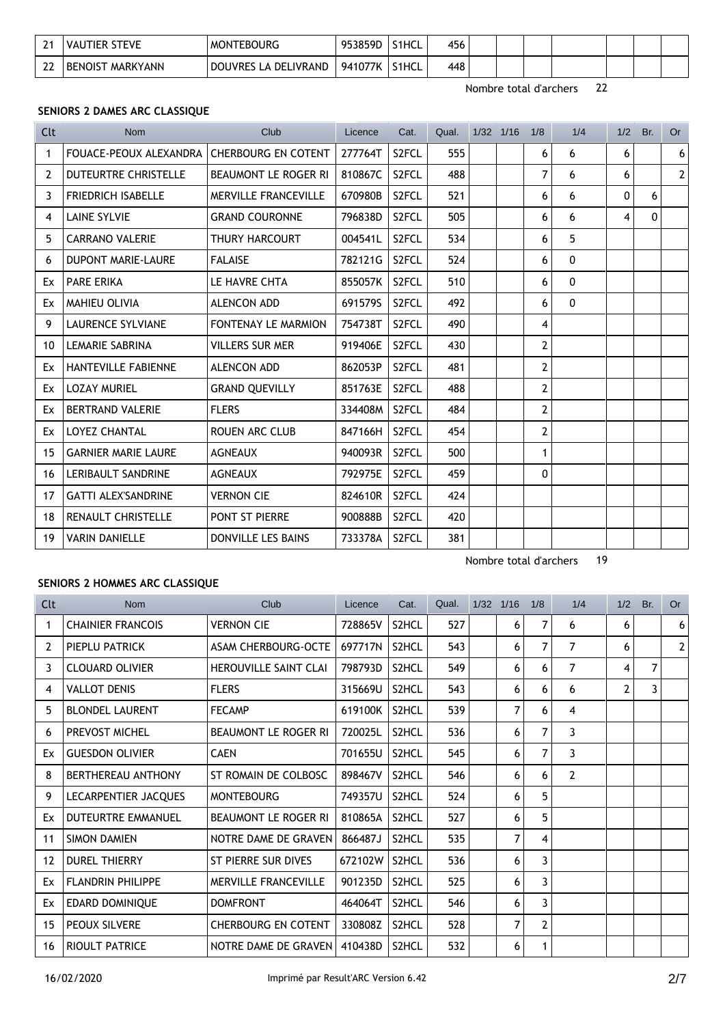| ີ<br><u>.</u>   | <b>STEVE</b><br>VAUTIER | <b>MONTEBOURG</b>              | 953859D | S <sub>1</sub> HCL | 456 |  |  |  |  |
|-----------------|-------------------------|--------------------------------|---------|--------------------|-----|--|--|--|--|
| ີ<br><u>. .</u> | <b>BENOIST MARKYANN</b> | LA DELIVRAND<br><b>DOUVRES</b> | 941077K | S1HCL              | 448 |  |  |  |  |

Nombre total d'archers 19

#### **SENIORS 2 DAMES ARC CLASSIQUE**

| Clt | Nom                                        | Club                        | Licence | Cat.               | Qual. | $1/32$ $1/16$ | 1/8            | 1/4          | 1/2          | Br. | Or           |
|-----|--------------------------------------------|-----------------------------|---------|--------------------|-------|---------------|----------------|--------------|--------------|-----|--------------|
| 1   | FOUACE-PEOUX ALEXANDRA CHERBOURG EN COTENT |                             | 277764T | S2FCL              | 555   |               | 6              | 6            | 6            |     | 6            |
| 2   | <b>DUTEURTRE CHRISTELLE</b>                | <b>BEAUMONT LE ROGER RI</b> | 810867C | S <sub>2</sub> FCL | 488   |               | 7              | 6            | 6            |     | $\mathbf{2}$ |
| 3   | <b>FRIEDRICH ISABELLE</b>                  | <b>MERVILLE FRANCEVILLE</b> | 670980B | S2FCL              | 521   |               | 6              | 6            | $\mathbf{0}$ | 6   |              |
| 4   | <b>LAINE SYLVIE</b>                        | <b>GRAND COURONNE</b>       | 796838D | S <sub>2</sub> FCL | 505   |               | 6              | 6            | 4            | 0   |              |
| 5   | <b>CARRANO VALERIE</b>                     | <b>THURY HARCOURT</b>       | 004541L | S2FCL              | 534   |               | 6              | 5            |              |     |              |
| 6   | DUPONT MARIE-LAURE                         | <b>FALAISE</b>              | 782121G | S <sub>2</sub> FCL | 524   |               | 6              | $\mathbf{0}$ |              |     |              |
| Ex  | <b>PARE ERIKA</b>                          | LE HAVRE CHTA               | 855057K | S2FCL              | 510   |               | 6              | $\pmb{0}$    |              |     |              |
| Ex  | <b>MAHIEU OLIVIA</b>                       | <b>ALENCON ADD</b>          | 691579S | S <sub>2</sub> FCL | 492   |               | 6              | $\mathbf{0}$ |              |     |              |
| 9   | <b>LAURENCE SYLVIANE</b>                   | <b>FONTENAY LE MARMION</b>  | 754738T | S <sub>2</sub> FCL | 490   |               | 4              |              |              |     |              |
| 10  | <b>LEMARIE SABRINA</b>                     | <b>VILLERS SUR MER</b>      | 919406E | S2FCL              | 430   |               | $\overline{2}$ |              |              |     |              |
| Ex  | <b>HANTEVILLE FABIENNE</b>                 | <b>ALENCON ADD</b>          | 862053P | S <sub>2</sub> FCL | 481   |               | $\overline{2}$ |              |              |     |              |
| Ex  | <b>LOZAY MURIEL</b>                        | <b>GRAND QUEVILLY</b>       | 851763E | S <sub>2</sub> FCL | 488   |               | 2              |              |              |     |              |
| Ex  | <b>BERTRAND VALERIE</b>                    | <b>FLERS</b>                | 334408M | S <sub>2</sub> FCL | 484   |               | 2              |              |              |     |              |
| Ex  | <b>LOYEZ CHANTAL</b>                       | ROUEN ARC CLUB              | 847166H | S2FCL              | 454   |               | $\overline{2}$ |              |              |     |              |
| 15  | <b>GARNIER MARIE LAURE</b>                 | <b>AGNEAUX</b>              | 940093R | S2FCL              | 500   |               | $\mathbf{1}$   |              |              |     |              |
| 16  | <b>LERIBAULT SANDRINE</b>                  | <b>AGNEAUX</b>              | 792975E | S <sub>2</sub> FCL | 459   |               | 0              |              |              |     |              |
| 17  | <b>GATTI ALEX'SANDRINE</b>                 | <b>VERNON CIE</b>           | 824610R | S <sub>2</sub> FCL | 424   |               |                |              |              |     |              |
| 18  | <b>RENAULT CHRISTELLE</b>                  | PONT ST PIERRE              | 900888B | S <sub>2</sub> FCL | 420   |               |                |              |              |     |              |
| 19  | <b>VARIN DANIELLE</b>                      | DONVILLE LES BAINS          | 733378A | S <sub>2</sub> FCL | 381   |               |                |              |              |     |              |

# **SENIORS 2 HOMMES ARC CLASSIQUE**

| <b>Clt</b>        | <b>Nom</b>                | Club                         | Licence | Cat.  | Qual. | $1/32$ $1/16$ |   | 1/8            | 1/4            | 1/2            | Br. | Or       |
|-------------------|---------------------------|------------------------------|---------|-------|-------|---------------|---|----------------|----------------|----------------|-----|----------|
| 1                 | <b>CHAINIER FRANCOIS</b>  | <b>VERNON CIE</b>            | 728865V | S2HCL | 527   |               | 6 | 7              | 6              | 6              |     | $6 \mid$ |
| 2                 | PIEPLU PATRICK            | <b>ASAM CHERBOURG-OCTE</b>   | 697717N | S2HCL | 543   |               | 6 | 7              | 7              | 6              |     | 2        |
| 3                 | <b>CLOUARD OLIVIER</b>    | <b>HEROUVILLE SAINT CLAI</b> | 798793D | S2HCL | 549   |               | 6 | 6              | $\overline{7}$ | 4              | 7   |          |
| 4                 | <b>VALLOT DENIS</b>       | <b>FLERS</b>                 | 315669U | S2HCL | 543   |               | 6 | 6              | 6              | $\overline{2}$ | 3   |          |
| 5                 | <b>BLONDEL LAURENT</b>    | <b>FECAMP</b>                | 619100K | S2HCL | 539   |               | 7 | 6              | 4              |                |     |          |
| 6                 | PREVOST MICHEL            | <b>BEAUMONT LE ROGER RI</b>  | 720025L | S2HCL | 536   |               | 6 | $\overline{7}$ | 3              |                |     |          |
| Ex                | <b>GUESDON OLIVIER</b>    | <b>CAEN</b>                  | 701655U | S2HCL | 545   |               | 6 | 7              | 3              |                |     |          |
| 8                 | BERTHEREAU ANTHONY        | ST ROMAIN DE COLBOSC         | 898467V | S2HCL | 546   |               | 6 | 6              | $\overline{2}$ |                |     |          |
| 9                 | LECARPENTIER JACQUES      | <b>MONTEBOURG</b>            | 749357U | S2HCL | 524   |               | 6 | 5              |                |                |     |          |
| Ex                | <b>DUTEURTRE EMMANUEL</b> | <b>BEAUMONT LE ROGER RI</b>  | 810865A | S2HCL | 527   |               | 6 | 5              |                |                |     |          |
| 11                | <b>SIMON DAMIEN</b>       | NOTRE DAME DE GRAVEN         | 866487J | S2HCL | 535   |               | 7 | 4              |                |                |     |          |
| $12 \overline{ }$ | <b>DUREL THIERRY</b>      | ST PIERRE SUR DIVES          | 672102W | S2HCL | 536   |               | 6 | 3              |                |                |     |          |
| Ex                | <b>FLANDRIN PHILIPPE</b>  | <b>MERVILLE FRANCEVILLE</b>  | 901235D | S2HCL | 525   |               | 6 | 3              |                |                |     |          |
| Ex                | <b>EDARD DOMINIQUE</b>    | <b>DOMFRONT</b>              | 464064T | S2HCL | 546   |               | 6 | 3              |                |                |     |          |
| 15                | PEOUX SILVERE             | <b>CHERBOURG EN COTENT</b>   | 330808Z | S2HCL | 528   |               | 7 | $\overline{2}$ |                |                |     |          |
| 16                | <b>RIOULT PATRICE</b>     | NOTRE DAME DE GRAVEN         | 410438D | S2HCL | 532   |               | 6 | $\mathbf{1}$   |                |                |     |          |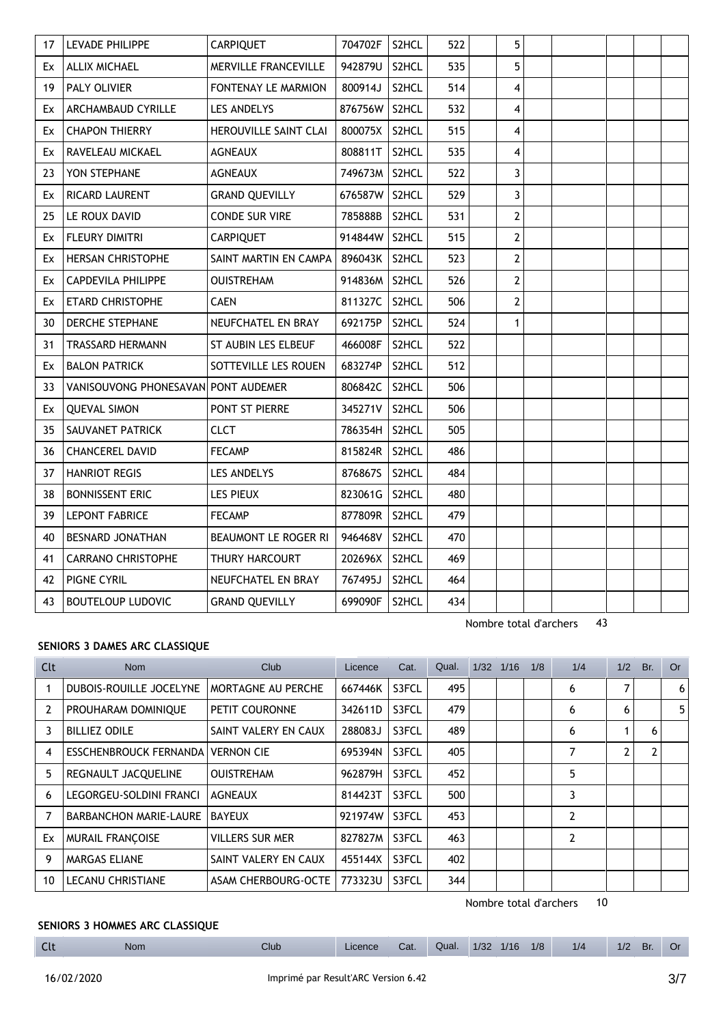| 17 | LEVADE PHILIPPE                     | <b>CARPIQUET</b>           | 704702F       | S2HCL | 522 | 5              |  |  |  |
|----|-------------------------------------|----------------------------|---------------|-------|-----|----------------|--|--|--|
| Ex | <b>ALLIX MICHAEL</b>                | MERVILLE FRANCEVILLE       | 942879U       | S2HCL | 535 | 5              |  |  |  |
| 19 | <b>PALY OLIVIER</b>                 | <b>FONTENAY LE MARMION</b> | 800914J       | S2HCL | 514 | 4              |  |  |  |
| Ex | ARCHAMBAUD CYRILLE                  | <b>LES ANDELYS</b>         | 876756W       | S2HCL | 532 | $\overline{4}$ |  |  |  |
| Ex | <b>CHAPON THIERRY</b>               | HEROUVILLE SAINT CLAI      | 800075X       | S2HCL | 515 | $\overline{4}$ |  |  |  |
| Ex | RAVELEAU MICKAEL                    | <b>AGNEAUX</b>             | 808811T       | S2HCL | 535 | 4              |  |  |  |
| 23 | YON STEPHANE                        | <b>AGNEAUX</b>             | 749673M S2HCL |       | 522 | 3              |  |  |  |
| Ex | RICARD LAURENT                      | <b>GRAND QUEVILLY</b>      | 676587W       | S2HCL | 529 | 3              |  |  |  |
| 25 | LE ROUX DAVID                       | <b>CONDE SUR VIRE</b>      | 785888B       | S2HCL | 531 | $\mathbf{2}$   |  |  |  |
| Ex | FLEURY DIMITRI                      | <b>CARPIQUET</b>           | 914844W S2HCL |       | 515 | $\overline{2}$ |  |  |  |
| Ex | <b>HERSAN CHRISTOPHE</b>            | SAINT MARTIN EN CAMPA      | 896043K       | S2HCL | 523 | $\overline{2}$ |  |  |  |
| Ex | <b>CAPDEVILA PHILIPPE</b>           | <b>OUISTREHAM</b>          | 914836M       | S2HCL | 526 | $\overline{2}$ |  |  |  |
| Ex | <b>ETARD CHRISTOPHE</b>             | <b>CAEN</b>                | 811327C       | S2HCL | 506 | $\overline{2}$ |  |  |  |
| 30 | DERCHE STEPHANE                     | NEUFCHATEL EN BRAY         | 692175P       | S2HCL | 524 | 1              |  |  |  |
| 31 | <b>TRASSARD HERMANN</b>             | ST AUBIN LES ELBEUF        | 466008F       | S2HCL | 522 |                |  |  |  |
| Ex | <b>BALON PATRICK</b>                | SOTTEVILLE LES ROUEN       | 683274P       | S2HCL | 512 |                |  |  |  |
| 33 | VANISOUVONG PHONESAVAN PONT AUDEMER |                            | 806842C       | S2HCL | 506 |                |  |  |  |
| Ex | <b>OUEVAL SIMON</b>                 | <b>PONT ST PIERRE</b>      | 345271V       | S2HCL | 506 |                |  |  |  |
| 35 | SAUVANET PATRICK                    | <b>CLCT</b>                | 786354H       | S2HCL | 505 |                |  |  |  |
| 36 | <b>CHANCEREL DAVID</b>              | <b>FECAMP</b>              | 815824R       | S2HCL | 486 |                |  |  |  |
| 37 | <b>HANRIOT REGIS</b>                | LES ANDELYS                | 876867S       | S2HCL | 484 |                |  |  |  |
| 38 | <b>BONNISSENT ERIC</b>              | <b>LES PIEUX</b>           | 823061G       | S2HCL | 480 |                |  |  |  |
| 39 | <b>LEPONT FABRICE</b>               | <b>FECAMP</b>              | 877809R       | S2HCL | 479 |                |  |  |  |
| 40 | <b>BESNARD JONATHAN</b>             | BEAUMONT LE ROGER RI       | 946468V       | S2HCL | 470 |                |  |  |  |
| 41 | CARRANO CHRISTOPHE                  | THURY HARCOURT             | 202696X       | S2HCL | 469 |                |  |  |  |
| 42 | PIGNE CYRIL                         | NEUFCHATEL EN BRAY         | 767495J       | S2HCL | 464 |                |  |  |  |
| 43 | <b>BOUTELOUP LUDOVIC</b>            | <b>GRAND QUEVILLY</b>      | 699090F       | S2HCL | 434 |                |  |  |  |

## **SENIORS 3 DAMES ARC CLASSIQUE**

| Clt            | Nom                                      | <b>Club</b>            | Licence | Cat.  | Qual. | 1/32 | 1/16 | 1/8 | 1/4            | 1/2            | Br. | <b>Or</b> |
|----------------|------------------------------------------|------------------------|---------|-------|-------|------|------|-----|----------------|----------------|-----|-----------|
|                | DUBOIS-ROUILLE JOCELYNE                  | MORTAGNE AU PERCHE     | 667446K | S3FCL | 495   |      |      |     | 6              | 7              |     | 6         |
| $\overline{2}$ | PROUHARAM DOMINIQUE                      | PETIT COURONNE         | 342611D | S3FCL | 479   |      |      |     | 6              | 6              |     | 5         |
| 3              | <b>BILLIEZ ODILE</b>                     | SAINT VALERY EN CAUX   | 288083J | S3FCL | 489   |      |      |     | 6              |                | 6   |           |
| 4              | <b>ESSCHENBROUCK FERNANDA VERNON CIE</b> |                        | 695394N | S3FCL | 405   |      |      |     | 7              | $\overline{2}$ | 2   |           |
| 5              | REGNAULT JACQUELINE                      | <b>OUISTREHAM</b>      | 962879H | S3FCL | 452   |      |      |     | 5              |                |     |           |
| 6              | LEGORGEU-SOLDINI FRANCI                  | <b>AGNEAUX</b>         | 814423T | S3FCL | 500   |      |      |     | 3              |                |     |           |
|                | <b>BARBANCHON MARIE-LAURE</b>            | <b>BAYEUX</b>          | 921974W | S3FCL | 453   |      |      |     | $\overline{2}$ |                |     |           |
| Ex             | <b>MURAIL FRANÇOISE</b>                  | <b>VILLERS SUR MER</b> | 827827M | S3FCL | 463   |      |      |     | 2              |                |     |           |
| 9              | <b>MARGAS ELIANE</b>                     | SAINT VALERY EN CAUX   | 455144X | S3FCL | 402   |      |      |     |                |                |     |           |
| 10             | <b>LECANU CHRISTIANE</b>                 | ASAM CHERBOURG-OCTE    | 773323U | S3FCL | 344   |      |      |     |                |                |     |           |

Nombre total d'archers 10

# **SENIORS 3 HOMMES ARC CLASSIQUE**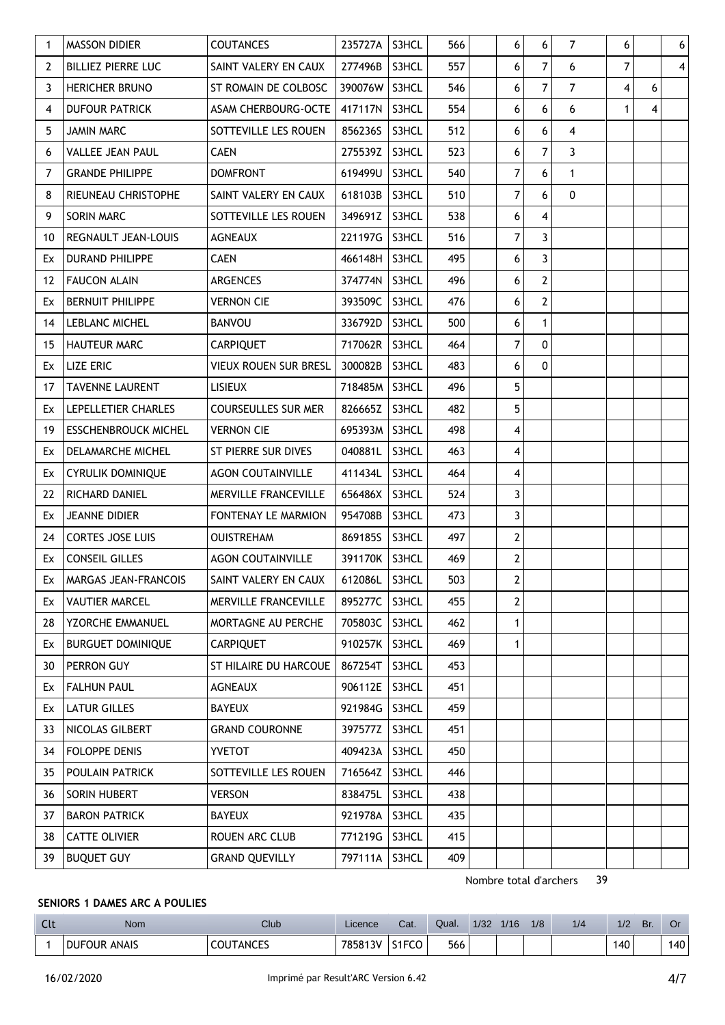| $\mathbf{1}$   | <b>MASSON DIDIER</b>        | <b>COUTANCES</b>               | 235727A | S3HCL | 566 | 6              | 6                       | $\overline{7}$ | 6            |   | 6 |
|----------------|-----------------------------|--------------------------------|---------|-------|-----|----------------|-------------------------|----------------|--------------|---|---|
| $\overline{2}$ | <b>BILLIEZ PIERRE LUC</b>   | SAINT VALERY EN CAUX           | 277496B | S3HCL | 557 | 6              | $\overline{7}$          | 6              | 7            |   | 4 |
| 3              | HERICHER BRUNO              | ST ROMAIN DE COLBOSC           | 390076W | S3HCL | 546 | 6              | $\overline{7}$          | $\overline{7}$ | 4            | 6 |   |
| 4              | <b>DUFOUR PATRICK</b>       | ASAM CHERBOURG-OCTE            | 417117N | S3HCL | 554 | 6              | 6                       | 6              | $\mathbf{1}$ | 4 |   |
| 5              | <b>JAMIN MARC</b>           | SOTTEVILLE LES ROUEN           | 856236S | S3HCL | 512 | 6              | $\boldsymbol{6}$        | 4              |              |   |   |
| 6              | <b>VALLEE JEAN PAUL</b>     | <b>CAEN</b>                    | 275539Z | S3HCL | 523 | 6              | $\overline{7}$          | 3              |              |   |   |
| 7              | <b>GRANDE PHILIPPE</b>      | <b>DOMFRONT</b>                | 619499U | S3HCL | 540 | 7              | $\boldsymbol{6}$        | 1              |              |   |   |
| 8              | RIEUNEAU CHRISTOPHE         | SAINT VALERY EN CAUX           | 618103B | S3HCL | 510 | 7              | $6\phantom{a}$          | $\mathbf{0}$   |              |   |   |
| 9              | SORIN MARC                  | SOTTEVILLE LES ROUEN           | 349691Z | S3HCL | 538 | 6              | $\overline{\mathbf{4}}$ |                |              |   |   |
| 10             | REGNAULT JEAN-LOUIS         | <b>AGNEAUX</b>                 | 221197G | S3HCL | 516 | 7              | $\overline{3}$          |                |              |   |   |
| Ex             | DURAND PHILIPPE             | <b>CAEN</b>                    | 466148H | S3HCL | 495 | 6              | $\overline{3}$          |                |              |   |   |
| 12             | <b>FAUCON ALAIN</b>         | ARGENCES                       | 374774N | S3HCL | 496 | 6              | $\overline{2}$          |                |              |   |   |
| Ex             | <b>BERNUIT PHILIPPE</b>     | <b>VERNON CIE</b>              | 393509C | S3HCL | 476 | 6              | $\overline{2}$          |                |              |   |   |
| 14             | LEBLANC MICHEL              | <b>BANVOU</b>                  | 336792D | S3HCL | 500 | 6              | $\mathbf{1}$            |                |              |   |   |
| 15             | <b>HAUTEUR MARC</b>         | <b>CARPIQUET</b>               | 717062R | S3HCL | 464 | 7              | $\mathbf{0}$            |                |              |   |   |
| Ex             | <b>LIZE ERIC</b>            | <b>VIEUX ROUEN SUR BRESL</b>   | 300082B | S3HCL | 483 | 6              | $\mathbf{0}$            |                |              |   |   |
| 17             | <b>TAVENNE LAURENT</b>      | <b>LISIEUX</b>                 | 718485M | S3HCL | 496 | 5              |                         |                |              |   |   |
| Ex             | LEPELLETIER CHARLES         | <b>COURSEULLES SUR MER</b>     | 826665Z | S3HCL | 482 | 5              |                         |                |              |   |   |
| 19             | <b>ESSCHENBROUCK MICHEL</b> | <b>VERNON CIE</b>              | 695393M | S3HCL | 498 | 4              |                         |                |              |   |   |
| Ex             | DELAMARCHE MICHEL           | ST PIERRE SUR DIVES            | 040881L | S3HCL | 463 | 4              |                         |                |              |   |   |
| Ex             | CYRULIK DOMINIQUE           | <b>AGON COUTAINVILLE</b>       | 411434L | S3HCL | 464 | 4              |                         |                |              |   |   |
| 22             | RICHARD DANIEL              | MERVILLE FRANCEVILLE           | 656486X | S3HCL | 524 | 3              |                         |                |              |   |   |
| Ex             | <b>JEANNE DIDIER</b>        | FONTENAY LE MARMION            | 954708B | S3HCL | 473 | 3              |                         |                |              |   |   |
| 24             | <b>CORTES JOSE LUIS</b>     | <b>OUISTREHAM</b>              | 869185S | S3HCL | 497 | $\overline{2}$ |                         |                |              |   |   |
| Ex             | <b>CONSEIL GILLES</b>       | <b>AGON COUTAINVILLE</b>       | 391170K | S3HCL | 469 | $\mathbf{2}$   |                         |                |              |   |   |
| Ex             | <b>MARGAS JEAN-FRANCOIS</b> | SAINT VALERY EN CAUX   612086L |         | S3HCL | 503 | $\mathbf{2}$   |                         |                |              |   |   |
| Ex             | <b>VAUTIER MARCEL</b>       | MERVILLE FRANCEVILLE           | 895277C | S3HCL | 455 | $\overline{2}$ |                         |                |              |   |   |
| 28             | YZORCHE EMMANUEL            | MORTAGNE AU PERCHE             | 705803C | S3HCL | 462 | $\mathbf{1}$   |                         |                |              |   |   |
| Ex             | <b>BURGUET DOMINIQUE</b>    | <b>CARPIQUET</b>               | 910257K | S3HCL | 469 | 1              |                         |                |              |   |   |
| 30             | PERRON GUY                  | ST HILAIRE DU HARCOUE          | 867254T | S3HCL | 453 |                |                         |                |              |   |   |
| Ex             | <b>FALHUN PAUL</b>          | <b>AGNEAUX</b>                 | 906112E | S3HCL | 451 |                |                         |                |              |   |   |
| Ex             | <b>LATUR GILLES</b>         | <b>BAYEUX</b>                  | 921984G | S3HCL | 459 |                |                         |                |              |   |   |
| 33             | NICOLAS GILBERT             | <b>GRAND COURONNE</b>          | 397577Z | S3HCL | 451 |                |                         |                |              |   |   |
| 34             | FOLOPPE DENIS               | <b>YVETOT</b>                  | 409423A | S3HCL | 450 |                |                         |                |              |   |   |
| 35             | POULAIN PATRICK             | SOTTEVILLE LES ROUEN           | 716564Z | S3HCL | 446 |                |                         |                |              |   |   |
| 36             | SORIN HUBERT                | <b>VERSON</b>                  | 838475L | S3HCL | 438 |                |                         |                |              |   |   |
| 37             | <b>BARON PATRICK</b>        | <b>BAYEUX</b>                  | 921978A | S3HCL | 435 |                |                         |                |              |   |   |
| 38             | <b>CATTE OLIVIER</b>        | ROUEN ARC CLUB                 | 771219G | S3HCL | 415 |                |                         |                |              |   |   |
| 39             | <b>BUQUET GUY</b>           | <b>GRAND QUEVILLY</b>          | 797111A | S3HCL | 409 |                |                         |                |              |   |   |

# **SENIORS 1 DAMES ARC A POULIES**

| $\sim$<br>นเ | <b>Nom</b>          | $\sim$<br>Club   | Licence | Cat.                  | Qual. | 1/32 | 1/16 | 1/8 | 1/4 | 1/2 | Br. | v.  |
|--------------|---------------------|------------------|---------|-----------------------|-------|------|------|-----|-----|-----|-----|-----|
|              | <b>DUFOUR ANAIS</b> | <b>COUTANCES</b> | 785813V | $C = C$<br>τU<br>51FI | 566   |      |      |     |     | 140 |     | 140 |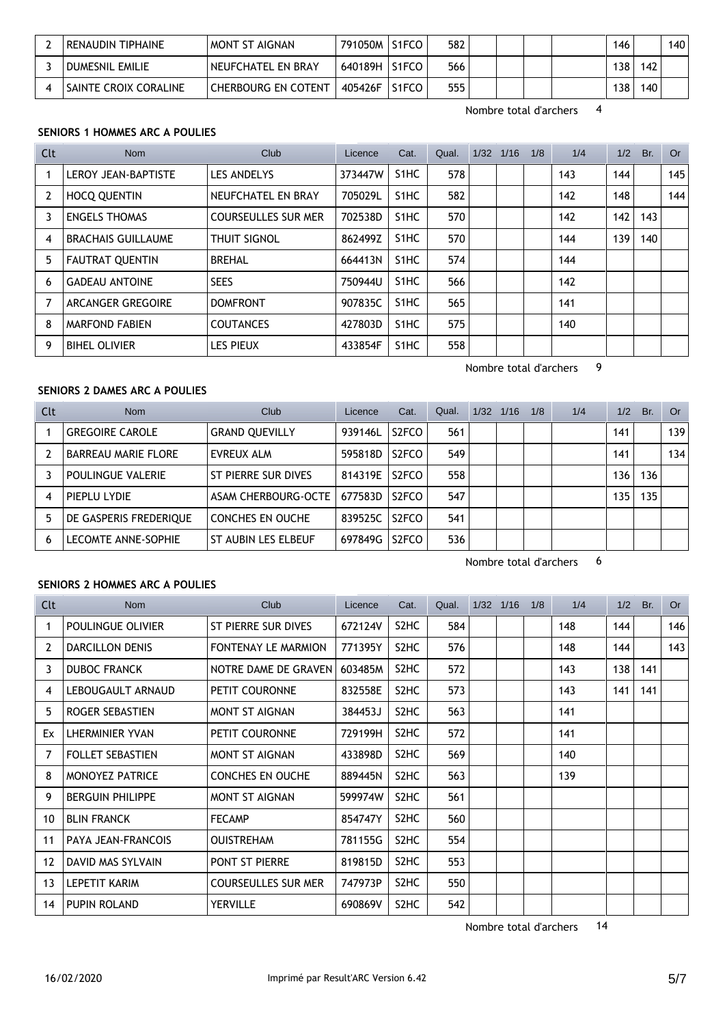| RENAUDIN TIPHAINE      | I MONT ST AIGNAN    | 791050M | S1FCO | 582 |  | 146 |     | 140 |
|------------------------|---------------------|---------|-------|-----|--|-----|-----|-----|
| <b>DUMESNIL EMILIE</b> | NEUFCHATEL EN BRAY  | 640189H | S1FCO | 566 |  | 138 | 142 |     |
| SAINTE CROIX CORALINE  | CHERBOURG EN COTENT | 405426F | S1FCO | 555 |  | 138 | 140 |     |

### **SENIORS 1 HOMMES ARC A POULIES**

| Clt            | Nom                       | Club.                      | Licence | Cat.              | Qual. | 1/32 1/16 | 1/8 | 1/4 | 1/2 | Br. | Or  |
|----------------|---------------------------|----------------------------|---------|-------------------|-------|-----------|-----|-----|-----|-----|-----|
|                | LEROY JEAN-BAPTISTE       | LES ANDELYS                | 373447W | S <sub>1</sub> HC | 578   |           |     | 143 | 144 |     | 145 |
| $\overline{2}$ | <b>HOCQ QUENTIN</b>       | NEUFCHATEL EN BRAY         | 705029L | S <sub>1</sub> HC | 582   |           |     | 142 | 148 |     | 144 |
| 3              | <b>ENGELS THOMAS</b>      | <b>COURSEULLES SUR MER</b> | 702538D | S <sub>1</sub> HC | 570   |           |     | 142 | 142 | 143 |     |
| 4              | <b>BRACHAIS GUILLAUME</b> | <b>THUIT SIGNOL</b>        | 862499Z | S <sub>1</sub> HC | 570   |           |     | 144 | 139 | 140 |     |
| 5              | <b>FAUTRAT OUENTIN</b>    | <b>BREHAL</b>              | 664413N | S <sub>1</sub> HC | 574   |           |     | 144 |     |     |     |
| 6              | <b>GADEAU ANTOINE</b>     | <b>SEES</b>                | 750944U | S <sub>1</sub> HC | 566   |           |     | 142 |     |     |     |
|                | ARCANGER GREGOIRE         | <b>DOMFRONT</b>            | 907835C | S <sub>1</sub> HC | 565   |           |     | 141 |     |     |     |
| 8              | <b>MARFOND FABIEN</b>     | <b>COUTANCES</b>           | 427803D | S <sub>1</sub> HC | 575   |           |     | 140 |     |     |     |
| 9              | <b>BIHEL OLIVIER</b>      | <b>LES PIEUX</b>           | 433854F | S <sub>1</sub> HC | 558   |           |     |     |     |     |     |

Nombre total d'archers 9

## **SENIORS 2 DAMES ARC A POULIES**

| Clt            | <b>Nom</b>                 | Club                    | Licence | Cat.               | Qual. | 1/32 | 1/16 | 1/8 | 1/4 | 1/2 | Br. | Or  |
|----------------|----------------------------|-------------------------|---------|--------------------|-------|------|------|-----|-----|-----|-----|-----|
|                | <b>GREGOIRE CAROLE</b>     | <b>GRAND QUEVILLY</b>   | 939146L | S <sub>2</sub> FCO | 561   |      |      |     |     | 141 |     | 139 |
| $\overline{2}$ | <b>BARREAU MARIE FLORE</b> | EVREUX ALM              | 595818D | S <sub>2</sub> FCO | 549   |      |      |     |     | 141 |     | 134 |
| 3              | <b>POULINGUE VALERIE</b>   | ST PIERRE SUR DIVES     | 814319E | S <sub>2</sub> FCO | 558   |      |      |     |     | 136 | 136 |     |
| 4              | PIEPLU LYDIE               | ASAM CHERBOURG-OCTE     | 677583D | S <sub>2</sub> FCO | 547   |      |      |     |     | 135 | 135 |     |
| 5              | DE GASPERIS FREDERIQUE     | <b>CONCHES EN OUCHE</b> | 839525C | S <sub>2</sub> FCO | 541   |      |      |     |     |     |     |     |
| 6              | <b>LECOMTE ANNE-SOPHIE</b> | ST AUBIN LES ELBEUF     | 697849G | S <sub>2</sub> FCO | 536   |      |      |     |     |     |     |     |

Nombre total d'archers 6

#### **SENIORS 2 HOMMES ARC A POULIES**

| Clt               | <b>Nom</b>              | <b>Club</b>                | Licence | Cat.              | Qual. | 1/32 1/16 | 1/8 | 1/4 |     | $1/2$ Br. | Or  |
|-------------------|-------------------------|----------------------------|---------|-------------------|-------|-----------|-----|-----|-----|-----------|-----|
| 1                 | POULINGUE OLIVIER       | ST PIERRE SUR DIVES        | 672124V | S <sub>2</sub> HC | 584   |           |     | 148 | 144 |           | 146 |
| 2                 | <b>DARCILLON DENIS</b>  | FONTENAY LE MARMION        | 771395Y | S <sub>2</sub> HC | 576   |           |     | 148 | 144 |           | 143 |
| 3                 | <b>DUBOC FRANCK</b>     | NOTRE DAME DE GRAVEN       | 603485M | S <sub>2</sub> HC | 572   |           |     | 143 | 138 | 141       |     |
| 4                 | LEBOUGAULT ARNAUD       | PETIT COURONNE             | 832558E | S <sub>2</sub> HC | 573   |           |     | 143 | 141 | 141       |     |
| 5                 | ROGER SEBASTIEN         | MONT ST AIGNAN             | 384453J | S <sub>2</sub> HC | 563   |           |     | 141 |     |           |     |
| Ex                | LHERMINIER YVAN         | PETIT COURONNE             | 729199H | S <sub>2</sub> HC | 572   |           |     | 141 |     |           |     |
| 7                 | <b>FOLLET SEBASTIEN</b> | MONT ST AIGNAN             | 433898D | S <sub>2</sub> HC | 569   |           |     | 140 |     |           |     |
| 8                 | <b>MONOYEZ PATRICE</b>  | <b>CONCHES EN OUCHE</b>    | 889445N | S <sub>2</sub> HC | 563   |           |     | 139 |     |           |     |
| 9                 | <b>BERGUIN PHILIPPE</b> | MONT ST AIGNAN             | 599974W | S <sub>2</sub> HC | 561   |           |     |     |     |           |     |
| 10                | <b>BLIN FRANCK</b>      | <b>FECAMP</b>              | 854747Y | S <sub>2</sub> HC | 560   |           |     |     |     |           |     |
| 11                | PAYA JEAN-FRANCOIS      | <b>OUISTREHAM</b>          | 781155G | S <sub>2</sub> HC | 554   |           |     |     |     |           |     |
| $12 \overline{ }$ | DAVID MAS SYLVAIN       | PONT ST PIERRE             | 819815D | S <sub>2</sub> HC | 553   |           |     |     |     |           |     |
| 13                | LEPETIT KARIM           | <b>COURSEULLES SUR MER</b> | 747973P | S <sub>2</sub> HC | 550   |           |     |     |     |           |     |
| 14                | PUPIN ROLAND            | YERVILLE                   | 690869V | S <sub>2</sub> HC | 542   |           |     |     |     |           |     |

Nombre total d'archers 14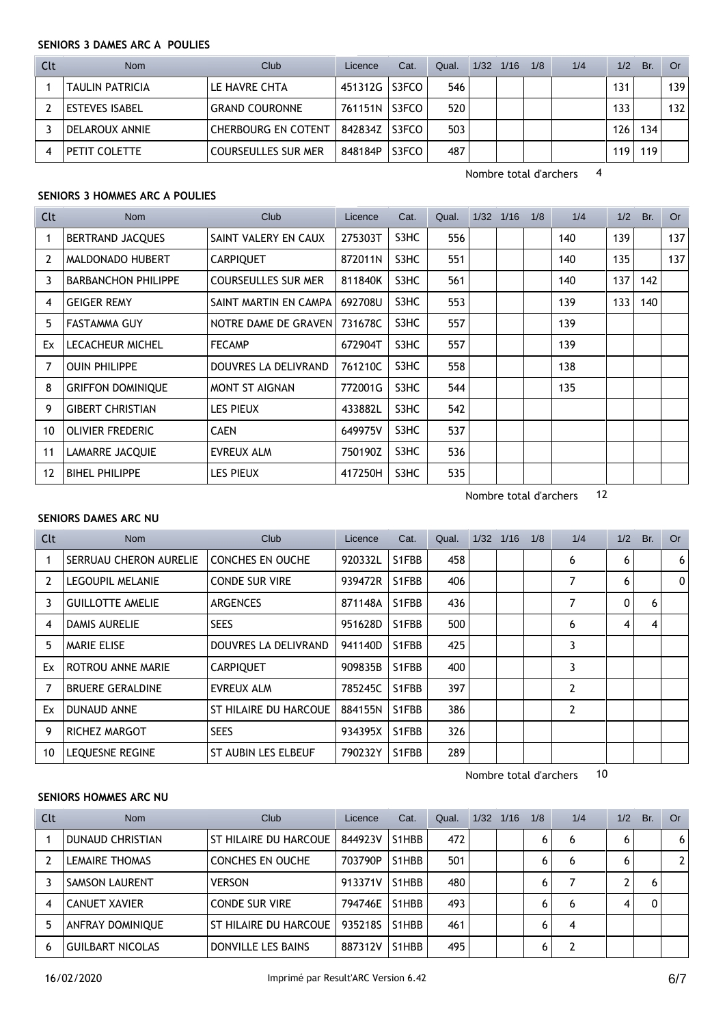#### **SENIORS 3 DAMES ARC A POULIES**

| Clt | <b>Nom</b>             | Club                         | Licence | Cat.  | Qual. | $1/32$ $1/16$ | 1/8 | 1/4 | 1/2 | Br. | Or  |
|-----|------------------------|------------------------------|---------|-------|-------|---------------|-----|-----|-----|-----|-----|
|     | <b>TAULIN PATRICIA</b> | LE HAVRE CHTA                | 451312G | S3FCO | 546   |               |     |     | 131 |     | 139 |
|     | <b>ESTEVES ISABEL</b>  | <b>GRAND COURONNE</b>        | 761151N | S3FCO | 520   |               |     |     | 133 |     | 132 |
|     | DELAROUX ANNIE         | <b>CHERBOURG EN COTENT  </b> | 842834Z | S3FCO | 503   |               |     |     | 126 | 134 |     |
|     | PETIT COLETTE          | <b>COURSEULLES SUR MER</b>   | 848184P | S3FCO | 487   |               |     |     | 119 | 119 |     |

Nombre total d'archers 4

## **SENIORS 3 HOMMES ARC A POULIES**

| Clt            | Nom                        | Club                       | Licence | Cat. | Qual. | $1/32$ $1/16$ | 1/8 | 1/4 | 1/2 | Br. | <b>Or</b> |
|----------------|----------------------------|----------------------------|---------|------|-------|---------------|-----|-----|-----|-----|-----------|
|                | <b>BERTRAND JACQUES</b>    | SAINT VALERY EN CAUX       | 275303T | S3HC | 556   |               |     | 140 | 139 |     | 137       |
| $\overline{2}$ | MALDONADO HUBERT           | <b>CARPIQUET</b>           | 872011N | S3HC | 551   |               |     | 140 | 135 |     | 137       |
| 3              | <b>BARBANCHON PHILIPPE</b> | <b>COURSEULLES SUR MER</b> | 811840K | S3HC | 561   |               |     | 140 | 137 | 142 |           |
| 4              | <b>GEIGER REMY</b>         | SAINT MARTIN EN CAMPA      | 692708U | S3HC | 553   |               |     | 139 | 133 | 140 |           |
| 5              | <b>FASTAMMA GUY</b>        | NOTRE DAME DE GRAVEN       | 731678C | S3HC | 557   |               |     | 139 |     |     |           |
| Ex             | <b>LECACHEUR MICHEL</b>    | <b>FECAMP</b>              | 672904T | S3HC | 557   |               |     | 139 |     |     |           |
| 7              | <b>OUIN PHILIPPE</b>       | DOUVRES LA DELIVRAND       | 761210C | S3HC | 558   |               |     | 138 |     |     |           |
| 8              | <b>GRIFFON DOMINIQUE</b>   | MONT ST AIGNAN             | 772001G | S3HC | 544   |               |     | 135 |     |     |           |
| 9              | <b>GIBERT CHRISTIAN</b>    | LES PIEUX                  | 433882L | S3HC | 542   |               |     |     |     |     |           |
| 10             | <b>OLIVIER FREDERIC</b>    | <b>CAEN</b>                | 649975V | S3HC | 537   |               |     |     |     |     |           |
| 11             | <b>LAMARRE JACQUIE</b>     | EVREUX ALM                 | 750190Z | S3HC | 536   |               |     |     |     |     |           |
| 12             | <b>BIHEL PHILIPPE</b>      | <b>LES PIEUX</b>           | 417250H | S3HC | 535   |               |     |     |     |     |           |

Nombre total d'archers 12

# **SENIORS DAMES ARC NU**

| Clt            | Nom                     | Club                    | Licence | Cat.  | Qual. | 1/32 | 1/16 | 1/8 | 1/4            | 1/2          | Br. | Or |
|----------------|-------------------------|-------------------------|---------|-------|-------|------|------|-----|----------------|--------------|-----|----|
|                | SERRUAU CHERON AURELIE  | <b>CONCHES EN OUCHE</b> | 920332L | S1FBB | 458   |      |      |     | 6              | 6            |     | 6  |
| $\overline{2}$ | <b>LEGOUPIL MELANIE</b> | <b>CONDE SUR VIRE</b>   | 939472R | S1FBB | 406   |      |      |     | 7              | 6            |     | 0  |
| 3              | <b>GUILLOTTE AMELIE</b> | <b>ARGENCES</b>         | 871148A | S1FBB | 436   |      |      |     | 7              | $\mathbf{0}$ | 6   |    |
| 4              | <b>DAMIS AURELIE</b>    | <b>SEES</b>             | 951628D | S1FBB | 500   |      |      |     | 6              | 4            | -4  |    |
| 5              | <b>MARIE ELISE</b>      | DOUVRES LA DELIVRAND    | 941140D | S1FBB | 425   |      |      |     | 3              |              |     |    |
| Ex             | ROTROU ANNE MARIE       | <b>CARPIQUET</b>        | 909835B | S1FBB | 400   |      |      |     | 3              |              |     |    |
| 7              | <b>BRUERE GERALDINE</b> | <b>EVREUX ALM</b>       | 785245C | S1FBB | 397   |      |      |     | $\overline{2}$ |              |     |    |
| Ex             | <b>DUNAUD ANNE</b>      | ST HILAIRE DU HARCOUE   | 884155N | S1FBB | 386   |      |      |     | $\overline{2}$ |              |     |    |
| 9              | RICHEZ MARGOT           | <b>SEES</b>             | 934395X | S1FBB | 326   |      |      |     |                |              |     |    |
| 10             | <b>LEQUESNE REGINE</b>  | ST AUBIN LES ELBEUF     | 790232Y | S1FBB | 289   |      |      |     |                |              |     |    |

Nombre total d'archers 10

# **SENIORS HOMMES ARC NU**

| Clt | <b>Nom</b>              | Club                    | Licence | Cat.  | Qual. | 1/32 | 1/16 | 1/8 | 1/4 | 1/2 | Br. | Or |
|-----|-------------------------|-------------------------|---------|-------|-------|------|------|-----|-----|-----|-----|----|
|     | DUNAUD CHRISTIAN        | ST HILAIRE DU HARCOUE   | 844923V | S1HBB | 472   |      |      | 6   | 6   | 6   |     | 6  |
|     | <b>LEMAIRE THOMAS</b>   | <b>CONCHES EN OUCHE</b> | 703790P | S1HBB | 501   |      |      | 6   | 6   | 6   |     |    |
|     | <b>SAMSON LAURENT</b>   | <b>VERSON</b>           | 913371V | S1HBB | 480   |      |      | 6   |     |     |     |    |
| 4   | <b>CANUET XAVIER</b>    | <b>CONDE SUR VIRE</b>   | 794746E | S1HBB | 493   |      |      | 6   | 6   | 4   |     |    |
|     | <b>ANFRAY DOMINIQUE</b> | ST HILAIRE DU HARCOUE   | 935218S | S1HBB | 461   |      |      | 6   | 4   |     |     |    |
| 6   | <b>GUILBART NICOLAS</b> | DONVILLE LES BAINS      | 887312V | S1HBB | 495   |      |      | 6   |     |     |     |    |